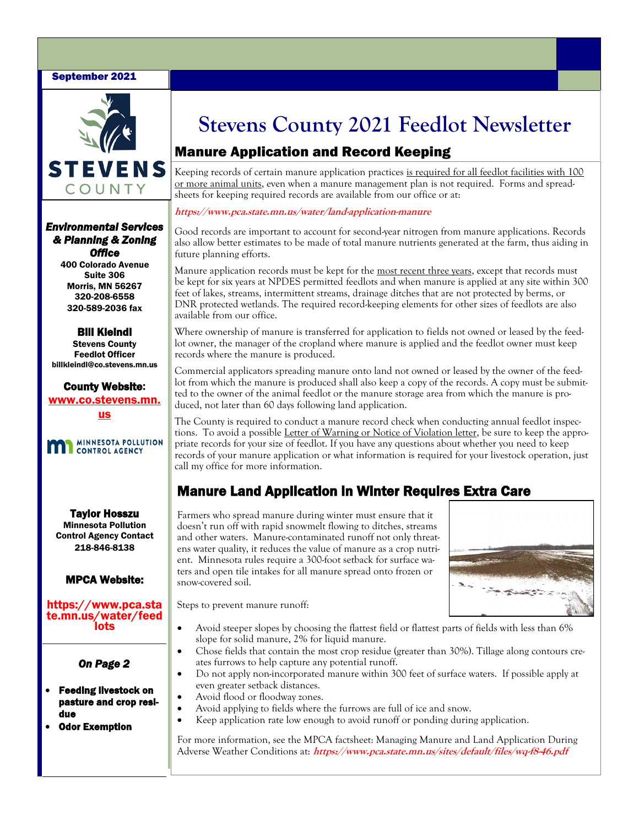## September 2021



*Environmental Services & Planning & Zoning Office* 

> 400 Colorado Avenue Suite 306 Morris, MN 56267 320-208-6558 320-589-2036 fax

Bill Kleindl Stevens County Feedlot Officer billkleindl@co.stevens.mn.us

County Website: www.co.stevens.mn. us



Taylor Hosszu Minnesota Pollution Control Agency Contact 218-846-8138

## MPCA Website:

https://www.pca.sta te.mn.us/water/feed lots

## *On Page 2*

### • Feeding livestock on pasture and crop residue

**Odor Exemption** 

# **Stevens County 2021 Feedlot Newsletter**

# Manure Application and Record Keeping

Keeping records of certain manure application practices is required for all feedlot facilities with 100 or more animal units, even when a manure management plan is not required. Forms and spreadsheets for keeping required records are available from our office or at:

## **https://www.pca.state.mn.us/water/land-application-manure**

Good records are important to account for second-year nitrogen from manure applications. Records also allow better estimates to be made of total manure nutrients generated at the farm, thus aiding in future planning efforts.

Manure application records must be kept for the most recent three years, except that records must be kept for six years at NPDES permitted feedlots and when manure is applied at any site within 300 feet of lakes, streams, intermittent streams, drainage ditches that are not protected by berms, or DNR protected wetlands. The required record-keeping elements for other sizes of feedlots are also available from our office.

Where ownership of manure is transferred for application to fields not owned or leased by the feedlot owner, the manager of the cropland where manure is applied and the feedlot owner must keep records where the manure is produced.

Commercial applicators spreading manure onto land not owned or leased by the owner of the feedlot from which the manure is produced shall also keep a copy of the records. A copy must be submitted to the owner of the animal feedlot or the manure storage area from which the manure is produced, not later than 60 days following land application.

The County is required to conduct a manure record check when conducting annual feedlot inspections. To avoid a possible Letter of Warning or Notice of Violation letter, be sure to keep the appropriate records for your size of feedlot. If you have any questions about whether you need to keep records of your manure application or what information is required for your livestock operation, just call my office for more information.

# Manure Land Application in Winter Requires Extra Care

Farmers who spread manure during winter must ensure that it doesn't run off with rapid snowmelt flowing to ditches, streams and other waters. Manure-contaminated runoff not only threatens water quality, it reduces the value of manure as a crop nutrient. Minnesota rules require a 300-foot setback for surface waters and open tile intakes for all manure spread onto frozen or snow-covered soil.



Steps to prevent manure runoff:

- Avoid steeper slopes by choosing the flattest field or flattest parts of fields with less than 6% slope for solid manure, 2% for liquid manure.
- Chose fields that contain the most crop residue (greater than 30%). Tillage along contours creates furrows to help capture any potential runoff.
- Do not apply non-incorporated manure within 300 feet of surface waters. If possible apply at even greater setback distances.
- Avoid flood or floodway zones.
- Avoid applying to fields where the furrows are full of ice and snow.
- Keep application rate low enough to avoid runoff or ponding during application.

For more information, see the MPCA factsheet: Managing Manure and Land Application During Adverse Weather Conditions at: **https://www.pca.state.mn.us/sites/default/files/wq-f8-46.pdf**